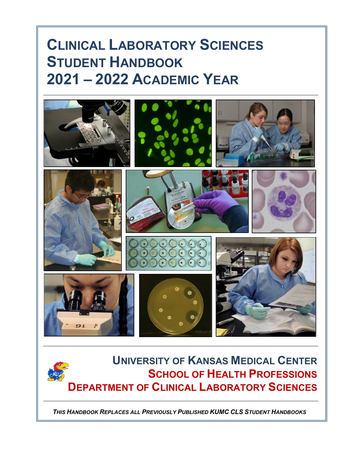# **CLINICAL LABORATORY SCIENCES STUDENT HANDBOOK 2021 – 2022 ACADEMIC YEAR**



# **UNIVERSITY OF KANSAS MEDICAL CENTER SCHOOL OF HEALTH PROFESSIONS DEPARTMENT OF CLINICAL LABORATORY SCIENCES**

*THIS HANDBOOK REPLACES ALL PREVIOUSLY PUBLISHED KUMC CLS STUDENT HANDBOOKS*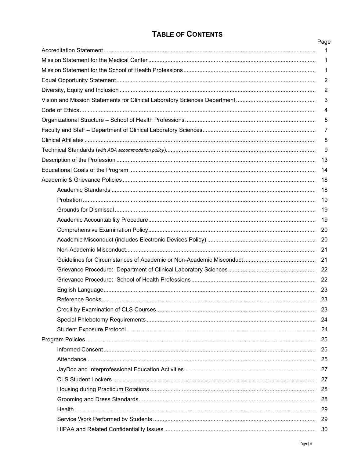## **TABLE OF CONTENTS**

| Page<br>1      |
|----------------|
| 1              |
| 1              |
| $\overline{2}$ |
| 2              |
| $\mathbf{3}$   |
| 4              |
| 5              |
| 7              |
| 8              |
| 9              |
|                |
| -14            |
|                |
| 18             |
|                |
| - 19           |
|                |
|                |
|                |
|                |
|                |
|                |
|                |
|                |
|                |
|                |
|                |
|                |
|                |
|                |
|                |
|                |
|                |
|                |
|                |
|                |
|                |
| -30            |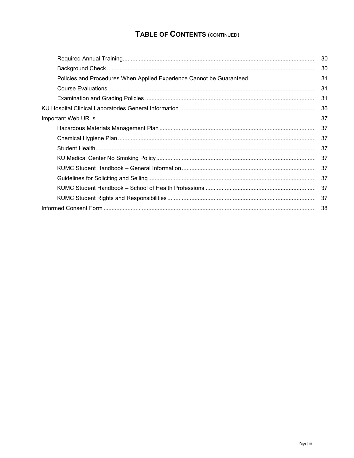## TABLE OF CONTENTS (CONTINUED)

| 30 |
|----|
| 30 |
|    |
| 31 |
| 31 |
|    |
|    |
| 37 |
|    |
| 37 |
|    |
|    |
|    |
|    |
|    |
|    |
|    |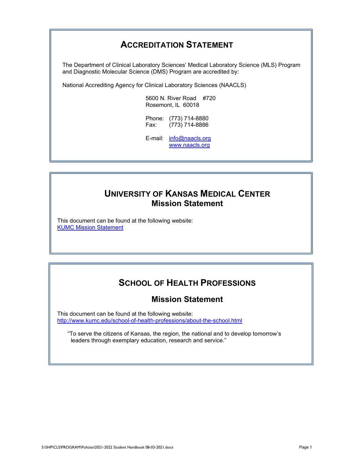## **ACCREDITATION STATEMENT**

The Department of Clinical Laboratory Sciences' Medical Laboratory Science (MLS) Program and Diagnostic Molecular Science (DMS) Program are accredited by:

National Accrediting Agency for Clinical Laboratory Sciences (NAACLS)

5600 N. River Road #720 Rosemont, IL 60018

Phone: (773) 714-8880 Fax: (773) 714-8886

E-mail: [info@naacls.org](mailto:info@naacls.org) [www.naacls.org](http://www.naacls.org/)

## **UNIVERSITY OF KANSAS MEDICAL CENTER Mission Statement**

This document can be found at the following website: [KUMC Mission Statement](http://www.kumc.edu/about-us/mission-statement.html)

## **SCHOOL OF HEALTH PROFESSIONS**

## **Mission Statement**

This document can be found at the following website: <http://www.kumc.edu/school-of-health-professions/about-the-school.html>

"To serve the citizens of Kansas, the region, the national and to develop tomorrow's leaders through exemplary education, research and service."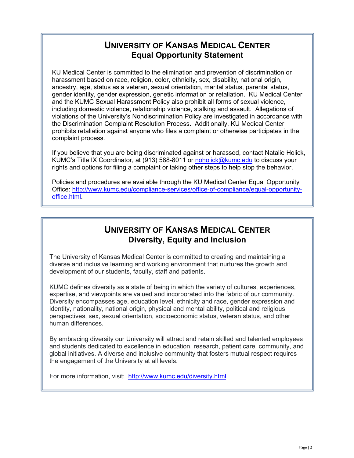## **UNIVERSITY OF KANSAS MEDICAL CENTER Equal Opportunity Statement**

KU Medical Center is committed to the elimination and prevention of discrimination or harassment based on race, religion, color, ethnicity, sex, disability, national origin, ancestry, age, status as a veteran, sexual orientation, marital status, parental status, gender identity, gender expression, genetic information or retaliation. KU Medical Center and the KUMC Sexual Harassment Policy also prohibit all forms of sexual violence, including domestic violence, relationship violence, stalking and assault. Allegations of violations of the University's Nondiscrimination Policy are investigated in accordance with the Discrimination Complaint Resolution Process. Additionally, KU Medical Center prohibits retaliation against anyone who files a complaint or otherwise participates in the complaint process.

If you believe that you are being discriminated against or harassed, contact Natalie Holick, KUMC's Title IX Coordinator, at (913) 588-8011 or [noholick@kumc.edu](mailto:noholick@kumc.edu) to discuss your rights and options for filing a complaint or taking other steps to help stop the behavior.

Policies and procedures are available through the KU Medical Center Equal Opportunity Office: [http://www.kumc.edu/compliance-services/office-of-compliance/equal-opportunity](http://www.kumc.edu/compliance-services/office-of-compliance/equal-opportunity-office.html)[office.html.](http://www.kumc.edu/compliance-services/office-of-compliance/equal-opportunity-office.html)

## **UNIVERSITY OF KANSAS MEDICAL CENTER Diversity, Equity and Inclusion**

The University of Kansas Medical Center is committed to creating and maintaining a diverse and inclusive learning and working environment that nurtures the growth and development of our students, faculty, staff and patients.

KUMC defines diversity as a state of being in which the variety of cultures, experiences, expertise, and viewpoints are valued and incorporated into the fabric of our community. Diversity encompasses age, education level, ethnicity and race, gender expression and identity, nationality, national origin, physical and mental ability, political and religious perspectives, sex, sexual orientation, socioeconomic status, veteran status, and other human differences.

By embracing diversity our University will attract and retain skilled and talented employees and students dedicated to excellence in education, research, patient care, community, and global initiatives. A diverse and inclusive community that fosters mutual respect requires the engagement of the University at all levels.

For more information, visit: <http://www.kumc.edu/diversity.html>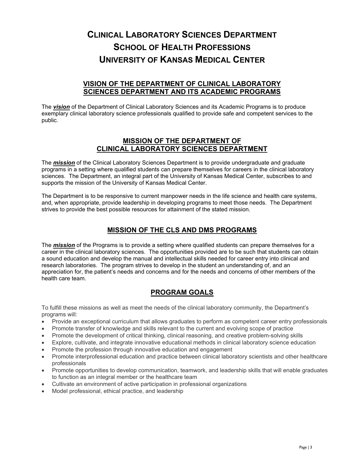## **CLINICAL LABORATORY SCIENCES DEPARTMENT SCHOOL OF HEALTH PROFESSIONS UNIVERSITY OF KANSAS MEDICAL CENTER**

### **VISION OF THE DEPARTMENT OF CLINICAL LABORATORY SCIENCES DEPARTMENT AND ITS ACADEMIC PROGRAMS**

The *vision* of the Department of Clinical Laboratory Sciences and its Academic Programs is to produce exemplary clinical laboratory science professionals qualified to provide safe and competent services to the public.

## **MISSION OF THE DEPARTMENT OF CLINICAL LABORATORY SCIENCES DEPARTMENT**

The *mission* of the Clinical Laboratory Sciences Department is to provide undergraduate and graduate programs in a setting where qualified students can prepare themselves for careers in the clinical laboratory sciences. The Department, an integral part of the University of Kansas Medical Center, subscribes to and supports the mission of the University of Kansas Medical Center.

The Department is to be responsive to current manpower needs in the life science and health care systems, and, when appropriate, provide leadership in developing programs to meet those needs. The Department strives to provide the best possible resources for attainment of the stated mission.

## **MISSION OF THE CLS AND DMS PROGRAMS**

The *mission* of the Programs is to provide a setting where qualified students can prepare themselves for a career in the clinical laboratory sciences. The opportunities provided are to be such that students can obtain a sound education and develop the manual and intellectual skills needed for career entry into clinical and research laboratories. The program strives to develop in the student an understanding of, and an appreciation for, the patient's needs and concerns and for the needs and concerns of other members of the health care team.

## **PROGRAM GOALS**

To fulfill these missions as well as meet the needs of the clinical laboratory community, the Department's programs will:

- Provide an exceptional curriculum that allows graduates to perform as competent career entry professionals
- Promote transfer of knowledge and skills relevant to the current and evolving scope of practice
- Promote the development of critical thinking, clinical reasoning, and creative problem-solving skills
- Explore, cultivate, and integrate innovative educational methods in clinical laboratory science education
- Promote the profession through innovative education and engagement
- Promote interprofessional education and practice between clinical laboratory scientists and other healthcare professionals
- Promote opportunities to develop communication, teamwork, and leadership skills that will enable graduates to function as an integral member or the healthcare team
- Cultivate an environment of active participation in professional organizations
- Model professional, ethical practice, and leadership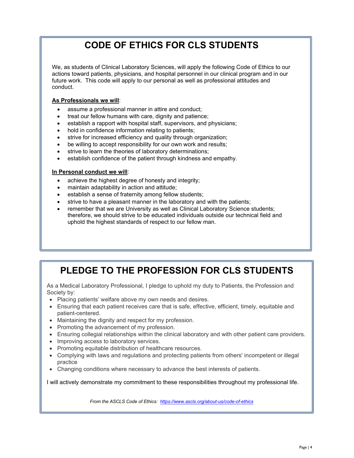## **CODE OF ETHICS FOR CLS STUDENTS**

We, as students of Clinical Laboratory Sciences, will apply the following Code of Ethics to our actions toward patients, physicians, and hospital personnel in our clinical program and in our future work. This code will apply to our personal as well as professional attitudes and conduct.

#### **As Professionals we will**:

- assume a professional manner in attire and conduct;
- treat our fellow humans with care, dignity and patience;
- establish a rapport with hospital staff, supervisors, and physicians;
- hold in confidence information relating to patients;
- strive for increased efficiency and quality through organization;
- be willing to accept responsibility for our own work and results;
- strive to learn the theories of laboratory determinations;
- establish confidence of the patient through kindness and empathy.

#### **In Personal conduct we will**:

- achieve the highest degree of honesty and integrity;
- maintain adaptability in action and attitude;
- establish a sense of fraternity among fellow students;
- strive to have a pleasant manner in the laboratory and with the patients;
- remember that we are University as well as Clinical Laboratory Science students; therefore, we should strive to be educated individuals outside our technical field and uphold the highest standards of respect to our fellow man.

## **PLEDGE TO THE PROFESSION FOR CLS STUDENTS**

As a Medical Laboratory Professional, I pledge to uphold my duty to Patients, the Profession and Society by:

- Placing patients' welfare above my own needs and desires.
- Ensuring that each patient receives care that is safe, effective, efficient, timely, equitable and patient-centered.
- Maintaining the dignity and respect for my profession.
- Promoting the advancement of my profession.
- Ensuring collegial relationships within the clinical laboratory and with other patient care providers.
- Improving access to laboratory services.
- Promoting equitable distribution of healthcare resources.
- Complying with laws and regulations and protecting patients from others' incompetent or illegal practice
- Changing conditions where necessary to advance the best interests of patients.

I will actively demonstrate my commitment to these responsibilities throughout my professional life.

*From the ASCLS Code of Ethics: <https://www.ascls.org/about-us/code-of-ethics>*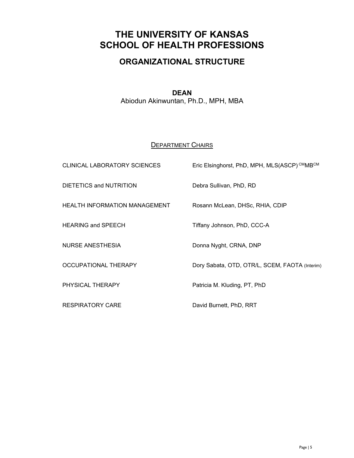## **THE UNIVERSITY OF KANSAS SCHOOL OF HEALTH PROFESSIONS**

## **ORGANIZATIONAL STRUCTURE**

## **DEAN**

Abiodun Akinwuntan, Ph.D., MPH, MBA

## **DEPARTMENT CHAIRS**

| CLINICAL LABORATORY SCIENCES         | Eric Elsinghorst, PhD, MPH, MLS(ASCP) CMMBCM   |
|--------------------------------------|------------------------------------------------|
| DIETETICS and NUTRITION              | Debra Sullivan, PhD, RD                        |
| <b>HEALTH INFORMATION MANAGEMENT</b> | Rosann McLean, DHSc, RHIA, CDIP                |
| <b>HEARING and SPEECH</b>            | Tiffany Johnson, PhD, CCC-A                    |
| <b>NURSE ANESTHESIA</b>              | Donna Nyght, CRNA, DNP                         |
| OCCUPATIONAL THERAPY                 | Dory Sabata, OTD, OTR/L, SCEM, FAOTA (Interim) |
| PHYSICAL THERAPY                     | Patricia M. Kluding, PT, PhD                   |
| <b>RESPIRATORY CARE</b>              | David Burnett, PhD, RRT                        |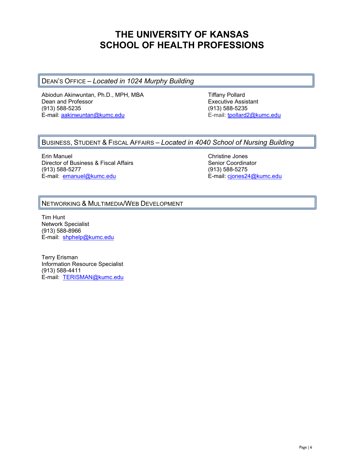## **THE UNIVERSITY OF KANSAS SCHOOL OF HEALTH PROFESSIONS**

### DEAN'S OFFICE – *Located in 1024 Murphy Building*

Abiodun Akinwuntan, Ph.D., MPH, MBA<br>Dean and Professor The Theory of The Executive Assi Dean and Professor **Executive Assistant**<br>
(913) 588-5235 (913) 588-5235 E-mail: [aakinwuntan@kumc.edu](mailto:aakinwuntan@kumc.edu)

(913) 588-5235<br>E-mail: tpollard2@kumc.edu

### BUSINESS, STUDENT & FISCAL AFFAIRS – *Located in 4040 School of Nursing Building*

Erin Manuel **Christian Christian Christian Christian Christian Christian Christian Christian Christian Christian Christian Christian Christian Christian Christian Christian Christian Christian Christian Christian Christian** Director of Business & Fiscal Affairs Senior Coordinator (913) 588-5277 (913) 588-5275 E-mail: [emanuel@kumc.edu](mailto:emanuel@kumc.edu) entertainment entertainment en E-mail: [cjones24@kumc.edu](mailto:cjones24@kumc.edu)

### NETWORKING & MULTIMEDIA/WEB DEVELOPMENT

Tim Hunt Network Specialist (913) 588-8966 E-mail: [shphelp@kumc.edu](mailto:shphelp@kumc.edu)

Terry Erisman Information Resource Specialist (913) 588-4411 E-mail: [TERISMAN@kumc.edu](mailto:TERISMAN@kumc.edu)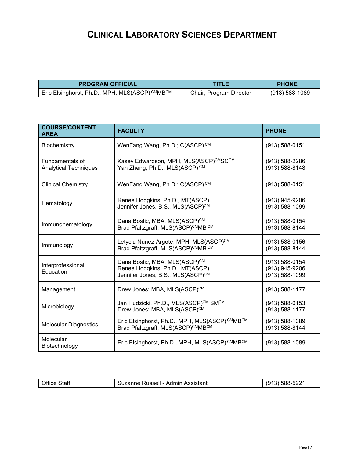## **CLINICAL LABORATORY SCIENCES DEPARTMENT**

| <b>PROGRAM OFFICIAL</b>                                                  | TITLE                   | <b>PHONE</b>       |  |
|--------------------------------------------------------------------------|-------------------------|--------------------|--|
| I Eric Elsinghorst, Ph.D., MPH, MLS(ASCP) <sup>CM</sup> MB <sup>CM</sup> | Chair, Program Director | $(913) 588 - 1089$ |  |

| <b>COURSE/CONTENT</b><br><b>AREA</b>            | <b>FACULTY</b>                                                                                                    | <b>PHONE</b>                                       |
|-------------------------------------------------|-------------------------------------------------------------------------------------------------------------------|----------------------------------------------------|
| Biochemistry                                    | WenFang Wang, Ph.D.; C(ASCP) <sup>CM</sup>                                                                        | $(913) 588 - 0151$                                 |
| Fundamentals of<br><b>Analytical Techniques</b> | Kasey Edwardson, MPH, MLS(ASCP)CMSCCM<br>Yan Zheng, Ph.D.; MLS(ASCP) CM                                           | $(913) 588 - 2286$<br>(913) 588-8148               |
| <b>Clinical Chemistry</b>                       | WenFang Wang, Ph.D.; C(ASCP) <sup>CM</sup>                                                                        | $(913) 588 - 0151$                                 |
| Hematology                                      | Renee Hodgkins, Ph.D., MT(ASCP)<br>Jennifer Jones, B.S., MLS(ASCP)CM                                              | (913) 945-9206<br>(913) 588-1099                   |
| Immunohematology                                | Dana Bostic, MBA, MLS(ASCP)CM<br>Brad Pfaltzgraff, MLS(ASCP)CMMB CM                                               | (913) 588-0154<br>(913) 588-8144                   |
| Immunology                                      | Letycia Nunez-Argote, MPH, MLS(ASCP)CM<br>Brad Pfaltzgraff, MLS(ASCP)CMMB CM                                      | $(913) 588 - 0156$<br>(913) 588-8144               |
| Interprofessional<br>Education                  | Dana Bostic, MBA, MLS(ASCP) <sup>CM</sup><br>Renee Hodgkins, Ph.D., MT(ASCP)<br>Jennifer Jones, B.S., MLS(ASCP)CM | (913) 588-0154<br>(913) 945-9206<br>(913) 588-1099 |
| Management                                      | Drew Jones; MBA, MLS(ASCP) <sup>CM</sup>                                                                          | $(913) 588 - 1177$                                 |
| Microbiology                                    | Jan Hudzicki, Ph.D., MLS(ASCP)CM SMCM<br>Drew Jones; MBA, MLS(ASCP)CM                                             | $(913) 588 - 0153$<br>(913) 588-1177               |
| <b>Molecular Diagnostics</b>                    | Eric Elsinghorst, Ph.D., MPH, MLS(ASCP) CMMBCM<br>Brad Pfaltzgraff, MLS(ASCP)CMMBCM                               | $(913) 588 - 1089$<br>(913) 588-8144               |
| Molecular<br>Biotechnology                      | Eric Elsinghorst, Ph.D., MPH, MLS(ASCP) CMMBCM                                                                    | $(913) 588 - 1089$                                 |

| <b>Office Staff</b> | Suzanne Russell - Admin Assistant | $(913)$ 588-5221 |
|---------------------|-----------------------------------|------------------|
|                     |                                   |                  |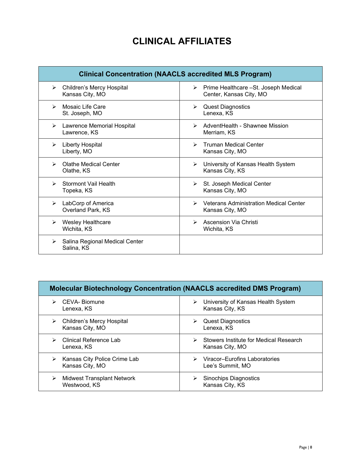## **CLINICAL AFFILIATES**

| <b>Clinical Concentration (NAACLS accredited MLS Program)</b> |                                               |  |  |  |
|---------------------------------------------------------------|-----------------------------------------------|--|--|--|
| Children's Mercy Hospital                                     | Prime Healthcare - St. Joseph Medical         |  |  |  |
| ➤                                                             | ➤                                             |  |  |  |
| Kansas City, MO                                               | Center, Kansas City, MO                       |  |  |  |
| Mosaic Life Care                                              | <b>Quest Diagnostics</b>                      |  |  |  |
| ➤                                                             | ➤                                             |  |  |  |
| St. Joseph, MO                                                | Lenexa, KS                                    |  |  |  |
| Lawrence Memorial Hospital                                    | AdventHealth - Shawnee Mission                |  |  |  |
| ➤                                                             | ➤                                             |  |  |  |
| Lawrence, KS                                                  | Merriam, KS                                   |  |  |  |
| <b>Liberty Hospital</b>                                       | Truman Medical Center                         |  |  |  |
| ≻                                                             | ➤                                             |  |  |  |
| Liberty, MO                                                   | Kansas City, MO                               |  |  |  |
| <b>Olathe Medical Center</b>                                  | University of Kansas Health System            |  |  |  |
| ⋗                                                             | ➤                                             |  |  |  |
| Olathe, KS                                                    | Kansas City, KS                               |  |  |  |
| <b>Stormont Vail Health</b>                                   | St. Joseph Medical Center                     |  |  |  |
| ⋗                                                             | ➤                                             |  |  |  |
| Topeka, KS                                                    | Kansas City, MO                               |  |  |  |
| LabCorp of America                                            | <b>Veterans Administration Medical Center</b> |  |  |  |
| ≻                                                             | ➤                                             |  |  |  |
| Overland Park, KS                                             | Kansas City, MO                               |  |  |  |
| <b>Wesley Healthcare</b>                                      | Ascension Via Christi                         |  |  |  |
| ⋗                                                             | ➤                                             |  |  |  |
| Wichita, KS                                                   | Wichita, KS                                   |  |  |  |
| Salina Regional Medical Center<br>➤<br>Salina, KS             |                                               |  |  |  |

| <b>Molecular Biotechnology Concentration (NAACLS accredited DMS Program)</b> |                                                            |  |  |  |  |
|------------------------------------------------------------------------------|------------------------------------------------------------|--|--|--|--|
| CEVA-Biomune<br>Lenexa, KS                                                   | University of Kansas Health System<br>➤<br>Kansas City, KS |  |  |  |  |
| Children's Mercy Hospital<br>➤<br>Kansas City, MO                            | <b>Quest Diagnostics</b><br>Lenexa, KS                     |  |  |  |  |
| Clinical Reference Lab                                                       | Stowers Institute for Medical Research                     |  |  |  |  |
| Lenexa, KS                                                                   | Kansas City, MO                                            |  |  |  |  |
| Kansas City Police Crime Lab                                                 | Viracor-Eurofins Laboratories                              |  |  |  |  |
| ➤                                                                            | $\triangleright$                                           |  |  |  |  |
| Kansas City, MO                                                              | Lee's Summit, MO                                           |  |  |  |  |
| <b>Midwest Transplant Network</b>                                            | Sinochips Diagnostics                                      |  |  |  |  |
| Westwood, KS                                                                 | Kansas City, KS                                            |  |  |  |  |

r.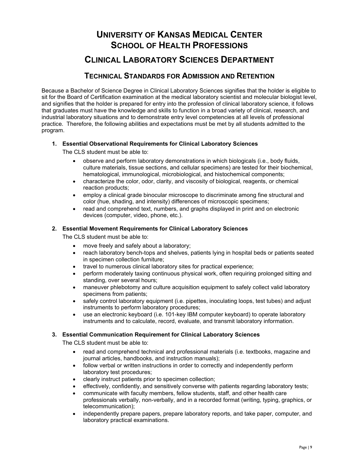# **UNIVERSITY OF KANSAS MEDICAL CENTER SCHOOL OF HEALTH PROFESSIONS**

## **CLINICAL LABORATORY SCIENCES DEPARTMENT**

## **TECHNICAL STANDARDS FOR ADMISSION AND RETENTION**

Because a Bachelor of Science Degree in Clinical Laboratory Sciences signifies that the holder is eligible to sit for the Board of Certification examination at the medical laboratory scientist and molecular biologist level, and signifies that the holder is prepared for entry into the profession of clinical laboratory science, it follows that graduates must have the knowledge and skills to function in a broad variety of clinical, research, and industrial laboratory situations and to demonstrate entry level competencies at all levels of professional practice. Therefore, the following abilities and expectations must be met by all students admitted to the program.

#### **1. Essential Observational Requirements for Clinical Laboratory Sciences**

The CLS student must be able to:

- observe and perform laboratory demonstrations in which biologicals (i.e., body fluids, culture materials, tissue sections, and cellular specimens) are tested for their biochemical, hematological, immunological, microbiological, and histochemical components;
- characterize the color, odor, clarity, and viscosity of biological, reagents, or chemical reaction products;
- employ a clinical grade binocular microscope to discriminate among fine structural and color (hue, shading, and intensity) differences of microscopic specimens;
- read and comprehend text, numbers, and graphs displayed in print and on electronic devices (computer, video, phone, etc.).

#### **2. Essential Movement Requirements for Clinical Laboratory Sciences**

The CLS student must be able to:

- move freely and safely about a laboratory;
- reach laboratory bench-tops and shelves, patients lying in hospital beds or patients seated in specimen collection furniture;
- travel to numerous clinical laboratory sites for practical experience;
- perform moderately taxing continuous physical work, often requiring prolonged sitting and standing, over several hours;
- maneuver phlebotomy and culture acquisition equipment to safely collect valid laboratory specimens from patients;
- safely control laboratory equipment (i.e. pipettes, inoculating loops, test tubes) and adjust instruments to perform laboratory procedures;
- use an electronic keyboard (i.e. 101-key IBM computer keyboard) to operate laboratory instruments and to calculate, record, evaluate, and transmit laboratory information.

#### **3. Essential Communication Requirement for Clinical Laboratory Sciences**

The CLS student must be able to:

- read and comprehend technical and professional materials (i.e. textbooks, magazine and journal articles, handbooks, and instruction manuals);
- follow verbal or written instructions in order to correctly and independently perform laboratory test procedures;
- clearly instruct patients prior to specimen collection;
- effectively, confidently, and sensitively converse with patients regarding laboratory tests;
- communicate with faculty members, fellow students, staff, and other health care professionals verbally, non-verbally, and in a recorded format (writing, typing, graphics, or telecommunication);
- independently prepare papers, prepare laboratory reports, and take paper, computer, and laboratory practical examinations.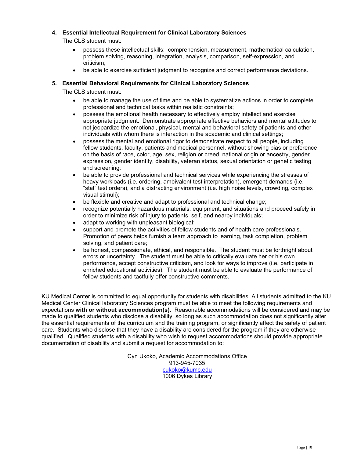#### **4. Essential Intellectual Requirement for Clinical Laboratory Sciences**

The CLS student must:

- possess these intellectual skills: comprehension, measurement, mathematical calculation, problem solving, reasoning, integration, analysis, comparison, self-expression, and criticism;
- be able to exercise sufficient judgment to recognize and correct performance deviations.

#### **5. Essential Behavioral Requirements for Clinical Laboratory Sciences**

The CLS student must:

- be able to manage the use of time and be able to systematize actions in order to complete professional and technical tasks within realistic constraints;
- possess the emotional health necessary to effectively employ intellect and exercise appropriate judgment. Demonstrate appropriate affective behaviors and mental attitudes to not jeopardize the emotional, physical, mental and behavioral safety of patients and other individuals with whom there is interaction in the academic and clinical settings;
- possess the mental and emotional rigor to demonstrate respect to all people, including fellow students, faculty, patients and medical personnel, without showing bias or preference on the basis of race, color, age, sex, religion or creed, national origin or ancestry, gender expression, gender identity, disability, veteran status, sexual orientation or genetic testing and screening;
- be able to provide professional and technical services while experiencing the stresses of heavy workloads (i.e. ordering, ambivalent test interpretation), emergent demands (i.e. "stat" test orders), and a distracting environment (i.e. high noise levels, crowding, complex visual stimuli);
- be flexible and creative and adapt to professional and technical change;
- recognize potentially hazardous materials, equipment, and situations and proceed safely in order to minimize risk of injury to patients, self, and nearby individuals;
- adapt to working with unpleasant biological;
- support and promote the activities of fellow students and of health care professionals. Promotion of peers helps furnish a team approach to learning, task completion, problem solving, and patient care;
- be honest, compassionate, ethical, and responsible. The student must be forthright about errors or uncertainty. The student must be able to critically evaluate her or his own performance, accept constructive criticism, and look for ways to improve (i.e. participate in enriched educational activities). The student must be able to evaluate the performance of fellow students and tactfully offer constructive comments.

KU Medical Center is committed to equal opportunity for students with disabilities*.* All students admitted to the KU Medical Center Clinical laboratory Sciences program must be able to meet the following requirements and expectations **with or without accommodation(s).** Reasonable accommodations will be considered and may be made to qualified students who disclose a disability, so long as such accommodation does not significantly alter the essential requirements of the curriculum and the training program, or significantly affect the safety of patient care. Students who disclose that they have a disability are considered for the program if they are otherwise qualified. Qualified students with a disability who wish to request accommodations should provide appropriate documentation of disability and submit a request for accommodation to:

> Cyn Ukoko, Academic Accommodations Office 913-945-7035 [cukoko@kumc.edu](mailto:cukoko@kumc.edu) 1006 Dykes Library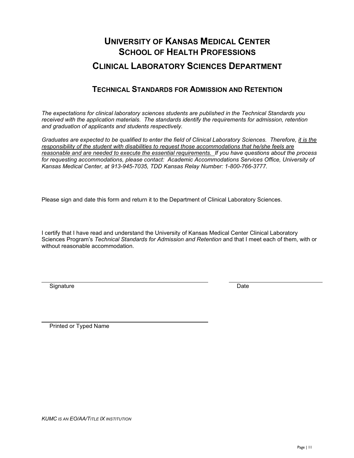## **UNIVERSITY OF KANSAS MEDICAL CENTER SCHOOL OF HEALTH PROFESSIONS CLINICAL LABORATORY SCIENCES DEPARTMENT**

## **TECHNICAL STANDARDS FOR ADMISSION AND RETENTION**

*The expectations for clinical laboratory sciences students are published in the Technical Standards you received with the application materials. The standards identify the requirements for admission, retention and graduation of applicants and students respectively.*

*Graduates are expected to be qualified to enter the field of Clinical Laboratory Sciences. Therefore, it is the responsibility of the student with disabilities to request those accommodations that he/she feels are reasonable and are needed to execute the essential requirements. If you have questions about the process for requesting accommodations, please contact: Academic Accommodations Services Office, University of Kansas Medical Center, at 913-945-7035, TDD Kansas Relay Number: 1-800-766-3777.*

Please sign and date this form and return it to the Department of Clinical Laboratory Sciences.

I certify that I have read and understand the University of Kansas Medical Center Clinical Laboratory Sciences Program's *Technical Standards for Admission and Retention* and that I meet each of them, with or without reasonable accommodation.

Signature Date Date Contract and the Date Date Date Date Date

Printed or Typed Name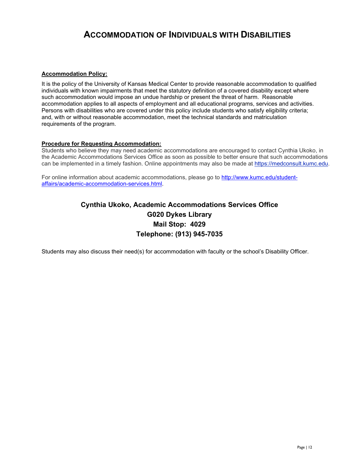## **ACCOMMODATION OF INDIVIDUALS WITH DISABILITIES**

#### **Accommodation Policy:**

It is the policy of the University of Kansas Medical Center to provide reasonable accommodation to qualified individuals with known impairments that meet the statutory definition of a covered disability except where such accommodation would impose an undue hardship or present the threat of harm. Reasonable accommodation applies to all aspects of employment and all educational programs, services and activities. Persons with disabilities who are covered under this policy include students who satisfy eligibility criteria; and, with or without reasonable accommodation, meet the technical standards and matriculation requirements of the program.

#### **Procedure for Requesting Accommodation:**

Students who believe they may need academic accommodations are encouraged to contact Cynthia Ukoko, in the Academic Accommodations Services Office as soon as possible to better ensure that such accommodations can be implemented in a timely fashion. Online appointments may also be made at [https://medconsult.kumc.edu.](https://medconsult.kumc.edu/)

For online information about academic accommodations, please go to [http://www.kumc.edu/student](http://www.kumc.edu/student-affairs/academic-accommodation-services.html)[affairs/academic-accommodation-services.html.](http://www.kumc.edu/student-affairs/academic-accommodation-services.html)

## **Cynthia Ukoko, Academic Accommodations Services Office G020 Dykes Library Mail Stop: 4029 Telephone: (913) 945-7035**

Students may also discuss their need(s) for accommodation with faculty or the school's Disability Officer.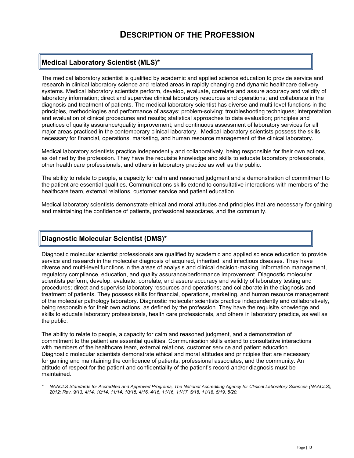## **Medical Laboratory Scientist (MLS)\***

The medical laboratory scientist is qualified by academic and applied science education to provide service and research in clinical laboratory science and related areas in rapidly changing and dynamic healthcare delivery systems. Medical laboratory scientists perform, develop, evaluate, correlate and assure accuracy and validity of laboratory information; direct and supervise clinical laboratory resources and operations; and collaborate in the diagnosis and treatment of patients. The medical laboratory scientist has diverse and multi‐level functions in the principles, methodologies and performance of assays; problem‐solving; troubleshooting techniques; interpretation and evaluation of clinical procedures and results; statistical approaches to data evaluation; principles and practices of quality assurance/quality improvement; and continuous assessment of laboratory services for all major areas practiced in the contemporary clinical laboratory. Medical laboratory scientists possess the skills necessary for financial, operations, marketing, and human resource management of the clinical laboratory.

Medical laboratory scientists practice independently and collaboratively, being responsible for their own actions, as defined by the profession. They have the requisite knowledge and skills to educate laboratory professionals, other health care professionals, and others in laboratory practice as well as the public.

The ability to relate to people, a capacity for calm and reasoned judgment and a demonstration of commitment to the patient are essential qualities. Communications skills extend to consultative interactions with members of the healthcare team, external relations, customer service and patient education.

Medical laboratory scientists demonstrate ethical and moral attitudes and principles that are necessary for gaining and maintaining the confidence of patients, professional associates, and the community.

### **Diagnostic Molecular Scientist (DMS)\***

Diagnostic molecular scientist professionals are qualified by academic and applied science education to provide service and research in the molecular diagnosis of acquired, inherited, and infectious diseases. They have diverse and multi‐level functions in the areas of analysis and clinical decision‐making, information management, regulatory compliance, education, and quality assurance/performance improvement. Diagnostic molecular scientists perform, develop, evaluate, correlate, and assure accuracy and validity of laboratory testing and procedures; direct and supervise laboratory resources and operations; and collaborate in the diagnosis and treatment of patients. They possess skills for financial, operations, marketing, and human resource management of the molecular pathology laboratory. Diagnostic molecular scientists practice independently and collaboratively, being responsible for their own actions, as defined by the profession. They have the requisite knowledge and skills to educate laboratory professionals, health care professionals, and others in laboratory practice, as well as the public.

The ability to relate to people, a capacity for calm and reasoned judgment, and a demonstration of commitment to the patient are essential qualities. Communication skills extend to consultative interactions with members of the healthcare team, external relations, customer service and patient education. Diagnostic molecular scientists demonstrate ethical and moral attitudes and principles that are necessary for gaining and maintaining the confidence of patients, professional associates, and the community. An attitude of respect for the patient and confidentiality of the patient's record and/or diagnosis must be maintained.

*\* NAACLS Standards for Accredited and Approved Programs, The National Accrediting Agency for Clinical Laboratory Sciences (NAACLS), 2012; Rev. 9/13, 4/14, 10/14, 11/14, 10/15, 4/16, 4/16, 11/16, 11/17, 5/18, 11/18, 5/19, 5/20.*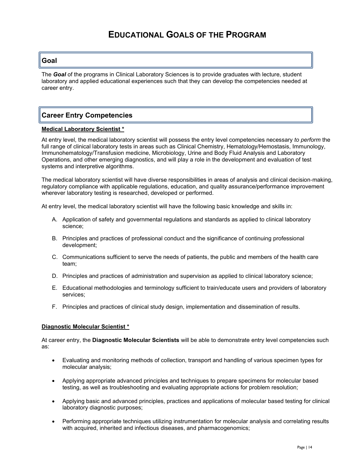### **Goal**

The *Goal* of the programs in Clinical Laboratory Sciences is to provide graduates with lecture, student laboratory and applied educational experiences such that they can develop the competencies needed at career entry.

### **Career Entry Competencies**

#### **Medical Laboratory Scientist \***

At entry level, the medical laboratory scientist will possess the entry level competencies necessary *to perform* the full range of clinical laboratory tests in areas such as Clinical Chemistry, Hematology/Hemostasis, Immunology, Immunohematology/Transfusion medicine, Microbiology, Urine and Body Fluid Analysis and Laboratory Operations, and other emerging diagnostics, and will play a role in the development and evaluation of test systems and interpretive algorithms.

The medical laboratory scientist will have diverse responsibilities in areas of analysis and clinical decision‐making, regulatory compliance with applicable regulations, education, and quality assurance/performance improvement wherever laboratory testing is researched, developed or performed.

At entry level, the medical laboratory scientist will have the following basic knowledge and skills in:

- A. Application of safety and governmental regulations and standards as applied to clinical laboratory science;
- B. Principles and practices of professional conduct and the significance of continuing professional development;
- C. Communications sufficient to serve the needs of patients, the public and members of the health care team;
- D. Principles and practices of administration and supervision as applied to clinical laboratory science;
- E. Educational methodologies and terminology sufficient to train/educate users and providers of laboratory services;
- F. Principles and practices of clinical study design, implementation and dissemination of results.

#### **Diagnostic Molecular Scientist \***

At career entry, the **Diagnostic Molecular Scientists** will be able to demonstrate entry level competencies such as:

- Evaluating and monitoring methods of collection, transport and handling of various specimen types for molecular analysis;
- Applying appropriate advanced principles and techniques to prepare specimens for molecular based testing, as well as troubleshooting and evaluating appropriate actions for problem resolution;
- Applying basic and advanced principles, practices and applications of molecular based testing for clinical laboratory diagnostic purposes;
- Performing appropriate techniques utilizing instrumentation for molecular analysis and correlating results with acquired, inherited and infectious diseases, and pharmacogenomics;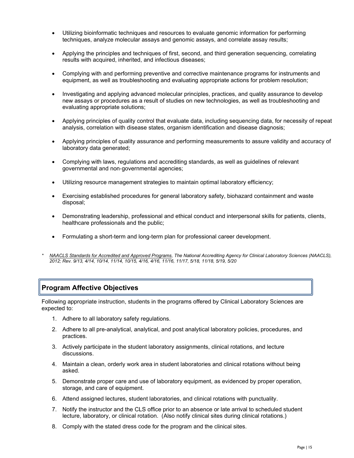- Utilizing bioinformatic techniques and resources to evaluate genomic information for performing techniques, analyze molecular assays and genomic assays, and correlate assay results;
- Applying the principles and techniques of first, second, and third generation sequencing, correlating results with acquired, inherited, and infectious diseases;
- Complying with and performing preventive and corrective maintenance programs for instruments and equipment, as well as troubleshooting and evaluating appropriate actions for problem resolution;
- Investigating and applying advanced molecular principles, practices, and quality assurance to develop new assays or procedures as a result of studies on new technologies, as well as troubleshooting and evaluating appropriate solutions;
- Applying principles of quality control that evaluate data, including sequencing data, for necessity of repeat analysis, correlation with disease states, organism identification and disease diagnosis;
- Applying principles of quality assurance and performing measurements to assure validity and accuracy of laboratory data generated;
- Complying with laws, regulations and accrediting standards, as well as guidelines of relevant governmental and non‐governmental agencies;
- Utilizing resource management strategies to maintain optimal laboratory efficiency;
- Exercising established procedures for general laboratory safety, biohazard containment and waste disposal;
- Demonstrating leadership, professional and ethical conduct and interpersonal skills for patients, clients, healthcare professionals and the public;
- Formulating a short-term and long-term plan for professional career development.
- *\* NAACLS Standards for Accredited and Approved Programs, The National Accrediting Agency for Clinical Laboratory Sciences (NAACLS), 2012; Rev. 9/13, 4/14, 10/14, 11/14, 10/15, 4/16, 4/16, 11/16, 11/17, 5/18, 11/18, 5/19, 5/20*

### **Program Affective Objectives**

Following appropriate instruction, students in the programs offered by Clinical Laboratory Sciences are expected to:

- 1. Adhere to all laboratory safety regulations.
- 2. Adhere to all pre-analytical, analytical, and post analytical laboratory policies, procedures, and practices.
- 3. Actively participate in the student laboratory assignments, clinical rotations, and lecture discussions.
- 4. Maintain a clean, orderly work area in student laboratories and clinical rotations without being asked.
- 5. Demonstrate proper care and use of laboratory equipment, as evidenced by proper operation, storage, and care of equipment.
- 6. Attend assigned lectures, student laboratories, and clinical rotations with punctuality.
- 7. Notify the instructor and the CLS office prior to an absence or late arrival to scheduled student lecture, laboratory, or clinical rotation. (Also notify clinical sites during clinical rotations.)
- 8. Comply with the stated dress code for the program and the clinical sites.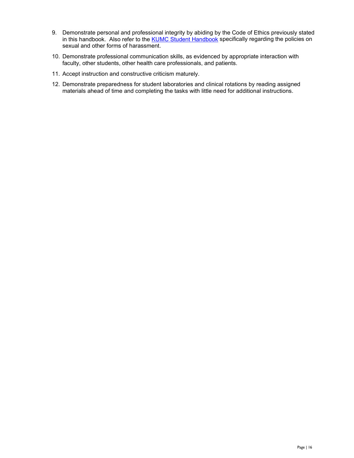- 9. Demonstrate personal and professional integrity by abiding by the Code of Ethics previously stated in this handbook. Also refer to the [KUMC Student Handbook](http://www.kumc.edu/student-handbook.html) specifically regarding the policies on sexual and other forms of harassment.
- 10. Demonstrate professional communication skills, as evidenced by appropriate interaction with faculty, other students, other health care professionals, and patients.
- 11. Accept instruction and constructive criticism maturely.
- 12. Demonstrate preparedness for student laboratories and clinical rotations by reading assigned materials ahead of time and completing the tasks with little need for additional instructions.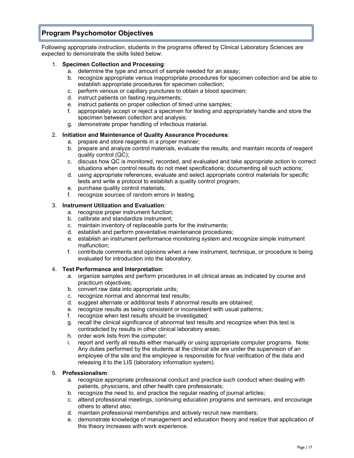## **Program Psychomotor Objectives**

Following appropriate instruction, students in the programs offered by Clinical Laboratory Sciences are expected to demonstrate the skills listed below:

#### 1. **Specimen Collection and Processing**:

- a. determine the type and amount of sample needed for an assay;
- b. recognize appropriate versus inappropriate procedures for specimen collection and be able to establish appropriate procedures for specimen collection;
- c. perform venous or capillary punctures to obtain a blood specimen;
- d. instruct patients on fasting requirements;
- e. instruct patients on proper collection of timed urine samples;
- f. appropriately accept or reject a specimen for testing and appropriately handle and store the specimen between collection and analysis;
- g. demonstrate proper handling of infectious material.

#### 2. **Initiation and Maintenance of Quality Assurance Procedures**:

- a. prepare and store reagents in a proper manner;
- b. prepare and analyze control materials, evaluate the results, and maintain records of reagent quality control (QC);
- c. discuss how QC is monitored, recorded, and evaluated and take appropriate action to correct situations when control results do not meet specifications; documenting all such actions;
- d. using appropriate references, evaluate and select appropriate control materials for specific tests and write a protocol to establish a quality control program;
- e. purchase quality control materials;
- f. recognize sources of random errors in testing.

#### 3. **Instrument Utilization and Evaluation**:

- a. recognize proper instrument function;
- b. calibrate and standardize instrument;
- c. maintain inventory of replaceable parts for the instruments;
- d. establish and perform preventative maintenance procedures;
- e. establish an instrument performance monitoring system and recognize simple instrument malfunction;
- f. contribute comments and opinions when a new instrument, technique, or procedure is being evaluated for introduction into the laboratory.

#### 4. **Test Performance and Interpretation**:

- a. organize samples and perform procedures in all clinical areas as indicated by course and practicum objectives;
- b. convert raw data into appropriate units;
- c. recognize normal and abnormal test results;
- d. suggest alternate or additional tests if abnormal results are obtained;
- e. recognize results as being consistent or inconsistent with usual patterns;
- f. recognize when test results should be investigated;
- g. recall the clinical significance of abnormal test results and recognize when this test is contradicted by results in other clinical laboratory areas;
- h. order work lists from the computer;
- i. report and verify all results either manually or using appropriate computer programs. Note: Any duties performed by the students at the clinical site are under the supervision of an employee of the site and the employee is responsible for final verification of the data and releasing it to the LIS (laboratory information system).

#### 5. **Professionalism**:

- a. recognize appropriate professional conduct and practice such conduct when dealing with patients, physicians, and other health care professionals;
- b. recognize the need to, and practice the regular reading of journal articles;
- c. attend professional meetings, continuing education programs and seminars, and encourage others to attend also;
- d. maintain professional memberships and actively recruit new members;
- e. demonstrate knowledge of management and education theory and realize that application of this theory increases with work experience.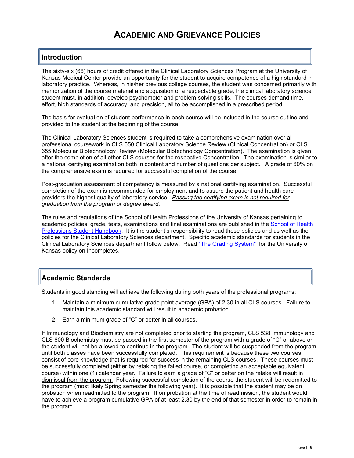## **ACADEMIC AND GRIEVANCE POLICIES**

## **Introduction**

The sixty-six (66) hours of credit offered in the Clinical Laboratory Sciences Program at the University of Kansas Medical Center provide an opportunity for the student to acquire competence of a high standard in laboratory practice. Whereas, in his/her previous college courses, the student was concerned primarily with memorization of the course material and acquisition of a respectable grade, the clinical laboratory science student must, in addition, develop psychomotor and problem-solving skills. The courses demand time, effort, high standards of accuracy, and precision, all to be accomplished in a prescribed period.

The basis for evaluation of student performance in each course will be included in the course outline and provided to the student at the beginning of the course.

The Clinical Laboratory Sciences student is required to take a comprehensive examination over all professional coursework in CLS 650 Clinical Laboratory Science Review (Clinical Concentration) or CLS 655 Molecular Biotechnology Review (Molecular Biotechnology Concentration). The examination is given after the completion of all other CLS courses for the respective Concentration. The examination is similar to a national certifying examination both in content and number of questions per subject. A grade of 60% on the comprehensive exam is required for successful completion of the course.

Post-graduation assessment of competency is measured by a national certifying examination. Successful completion of the exam is recommended for employment and to assure the patient and health care providers the highest quality of laboratory service. *Passing the certifying exam is not required for graduation from the program or degree award.*

The rules and regulations of the School of Health Professions of the University of Kansas pertaining to academic policies, grade, tests, examinations and final examinations are published in the [School of Health](http://www.kumc.edu/school-of-health-professions/student-handbook.html)  [Professions Student Handbook.](http://www.kumc.edu/school-of-health-professions/student-handbook.html) It is the student's responsibility to read these policies and as well as the policies for the Clinical Laboratory Sciences department. Specific academic standards for students in the Clinical Laboratory Sciences department follow below. Read ["The Grading System"](https://policy.ku.edu/governance/USRR#art2sect2para3) for the University of Kansas policy on Incompletes.

### **Academic Standards**

Students in good standing will achieve the following during both years of the professional programs:

- 1. Maintain a minimum cumulative grade point average (GPA) of 2.30 in all CLS courses. Failure to maintain this academic standard will result in academic probation.
- 2. Earn a minimum grade of "C" or better in all courses.

If Immunology and Biochemistry are not completed prior to starting the program, CLS 538 Immunology and CLS 600 Biochemistry must be passed in the first semester of the program with a grade of "C" or above or the student will not be allowed to continue in the program. The student will be suspended from the program until both classes have been successfully completed. This requirement is because these two courses consist of core knowledge that is required for success in the remaining CLS courses. These courses must be successfully completed (either by retaking the failed course, or completing an acceptable equivalent course) within one (1) calendar year. Failure to earn a grade of "C" or better on the retake will result in dismissal from the program.Following successful completion of the course the student will be readmitted to the program (most likely Spring semester the following year). It is possible that the student may be on probation when readmitted to the program. If on probation at the time of readmission, the student would have to achieve a program cumulative GPA of at least 2.30 by the end of that semester in order to remain in the program.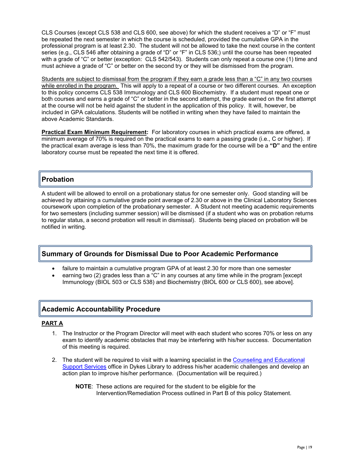CLS Courses (except CLS 538 and CLS 600, see above) for which the student receives a "D" or "F" must be repeated the next semester in which the course is scheduled, provided the cumulative GPA in the professional program is at least 2.30. The student will not be allowed to take the next course in the content series (e.g., CLS 546 after obtaining a grade of "D" or "F" in CLS 536;) until the course has been repeated with a grade of "C" or better (exception: CLS 542/543). Students can only repeat a course one (1) time and must achieve a grade of "C" or better on the second try or they will be dismissed from the program.

Students are subject to dismissal from the program if they earn a grade less than a "C" in any two courses while enrolled in the program. This will apply to a repeat of a course or two different courses. An exception to this policy concerns CLS 538 Immunology and CLS 600 Biochemistry. If a student must repeat one or both courses and earns a grade of "C" or better in the second attempt, the grade earned on the first attempt at the course will not be held against the student in the application of this policy. It will, however, be included in GPA calculations. Students will be notified in writing when they have failed to maintain the above Academic Standards.

**Practical Exam Minimum Requirement:** For laboratory courses in which practical exams are offered, a minimum average of 70% is required on the practical exams to earn a passing grade (i.e., C or higher). If the practical exam average is less than 70%, the maximum grade for the course will be a **"D"** and the entire laboratory course must be repeated the next time it is offered.

### **Probation**

A student will be allowed to enroll on a probationary status for one semester only. Good standing will be achieved by attaining a cumulative grade point average of 2.30 or above in the Clinical Laboratory Sciences coursework upon completion of the probationary semester. A Student not meeting academic requirements for two semesters (including summer session) will be dismissed (if a student who was on probation returns to regular status, a second probation will result in dismissal). Students being placed on probation will be notified in writing.

### **Summary of Grounds for Dismissal Due to Poor Academic Performance**

- failure to maintain a cumulative program GPA of at least 2.30 for more than one semester
- earning two (2) grades less than a "C" in any courses at any time while in the program [except Immunology (BIOL 503 or CLS 538) and Biochemistry (BIOL 600 or CLS 600), see above].

## **Academic Accountability Procedure**

#### **PART A**

- 1. The Instructor or the Program Director will meet with each student who scores 70% or less on any exam to identify academic obstacles that may be interfering with his/her success. Documentation of this meeting is required.
- 2. The student will be required to visit with a learning specialist in the [Counseling and Educational](http://www.kumc.edu/student-affairs/counseling-and-educational-support-services.html)  [Support Services](http://www.kumc.edu/student-affairs/counseling-and-educational-support-services.html) office in Dykes Library to address his/her academic challenges and develop an action plan to improve his/her performance. (Documentation will be required.)
	- **NOTE**: These actions are required for the student to be eligible for the Intervention/Remediation Process outlined in Part B of this policy Statement.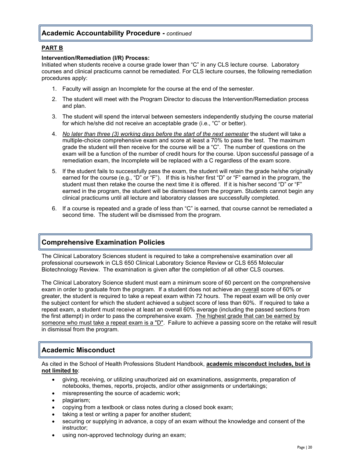### **Academic Accountability Procedure -** *continued*

#### **PART B**

#### **Intervention/Remediation (I/R) Process:**

Initiated when students receive a course grade lower than "C" in any CLS lecture course. Laboratory courses and clinical practicums cannot be remediated. For CLS lecture courses, the following remediation procedures apply:

- 1. Faculty will assign an Incomplete for the course at the end of the semester.
- 2. The student will meet with the Program Director to discuss the Intervention/Remediation process and plan.
- 3. The student will spend the interval between semesters independently studying the course material for which he/she did not receive an acceptable grade (i.e., "C" or better).
- 4. *No later than three (3) working days before the start of the next semester* the student will take a multiple-choice comprehensive exam and score at least a 70% to pass the test. The maximum grade the student will then receive for the course will be a "C". The number of questions on the exam will be a function of the number of credit hours for the course. Upon successful passage of a remediation exam, the Incomplete will be replaced with a C regardless of the exam score.
- 5. If the student fails to successfully pass the exam, the student will retain the grade he/she originally earned for the course (e.g., "D" or "F"). If this is his/her first "D" or "F" earned in the program, the student must then retake the course the next time it is offered. If it is his/her second "D" or "F" earned in the program, the student will be dismissed from the program. Students cannot begin any clinical practicums until all lecture and laboratory classes are successfully completed.
- 6. If a course is repeated and a grade of less than "C" is earned, that course cannot be remediated a second time. The student will be dismissed from the program.

### **Comprehensive Examination Policies**

The Clinical Laboratory Sciences student is required to take a comprehensive examination over all professional coursework in CLS 650 Clinical Laboratory Science Review or CLS 655 Molecular Biotechnology Review. The examination is given after the completion of all other CLS courses.

The Clinical Laboratory Science student must earn a minimum score of 60 percent on the comprehensive exam in order to graduate from the program. If a student does not achieve an overall score of 60% or greater, the student is required to take a repeat exam within 72 hours. The repeat exam will be only over the subject content for which the student achieved a subject score of less than 60%. If required to take a repeat exam, a student must receive at least an overall 60% average (including the passed sections from the first attempt) in order to pass the comprehensive exam. The highest grade that can be earned by someone who must take a repeat exam is a "D". Failure to achieve a passing score on the retake will result in dismissal from the program.

### **Academic Misconduct**

As cited in the School of Health Professions Student Handbook, **academic misconduct includes, but is not limited to**:

- giving, receiving, or utilizing unauthorized aid on examinations, assignments, preparation of notebooks, themes, reports, projects, and/or other assignments or undertakings;
- misrepresenting the source of academic work;
- plagiarism;
- copying from a textbook or class notes during a closed book exam;
- taking a test or writing a paper for another student;
- securing or supplying in advance, a copy of an exam without the knowledge and consent of the instructor;
- using non-approved technology during an exam;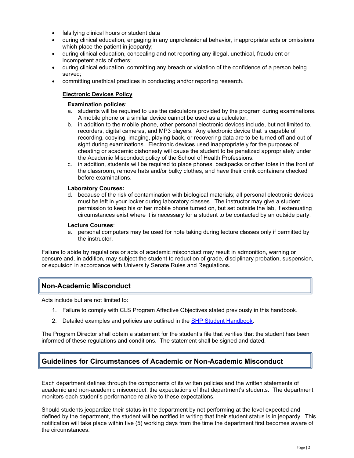- falsifying clinical hours or student data
- during clinical education, engaging in any unprofessional behavior, inappropriate acts or omissions which place the patient in jeopardy;
- during clinical education, concealing and not reporting any illegal, unethical, fraudulent or incompetent acts of others;
- during clinical education, committing any breach or violation of the confidence of a person being served;
- committing unethical practices in conducting and/or reporting research.

#### **Electronic Devices Policy**

#### **Examination policies**:

- a. students will be required to use the calculators provided by the program during examinations. A mobile phone or a similar device cannot be used as a calculator.
- b. in addition to the mobile phone, other personal electronic devices include, but not limited to, recorders, digital cameras, and MP3 players. Any electronic device that is capable of recording, copying, imaging, playing back, or recovering data are to be turned off and out of sight during examinations. Electronic devices used inappropriately for the purposes of cheating or academic dishonesty will cause the student to be penalized appropriately under the Academic Misconduct policy of the School of Health Professions.
- c. in addition, students will be required to place phones, backpacks or other totes in the front of the classroom, remove hats and/or bulky clothes, and have their drink containers checked before examinations.

#### **Laboratory Courses:**

d. because of the risk of contamination with biological materials; all personal electronic devices must be left in your locker during laboratory classes. The instructor may give a student permission to keep his or her mobile phone turned on, but set outside the lab, if extenuating circumstances exist where it is necessary for a student to be contacted by an outside party.

#### **Lecture Courses**:

e. personal computers may be used for note taking during lecture classes only if permitted by the instructor.

Failure to abide by regulations or acts of academic misconduct may result in admonition, warning or censure and, in addition, may subject the student to reduction of grade, disciplinary probation, suspension, or expulsion in accordance with University Senate Rules and Regulations.

### **Non-Academic Misconduct**

Acts include but are not limited to:

- 1. Failure to comply with CLS Program Affective Objectives stated previously in this handbook.
- 2. Detailed examples and policies are outlined in the [SHP Student Handbook.](http://www.kumc.edu/school-of-health-professions/student-handbook.html)

The Program Director shall obtain a statement for the student's file that verifies that the student has been informed of these regulations and conditions. The statement shall be signed and dated.

### **Guidelines for Circumstances of Academic or Non-Academic Misconduct**

Each department defines through the components of its written policies and the written statements of academic and non-academic misconduct, the expectations of that department's students. The department monitors each student's performance relative to these expectations.

Should students jeopardize their status in the department by not performing at the level expected and defined by the department, the student will be notified in writing that their student status is in jeopardy. This notification will take place within five (5) working days from the time the department first becomes aware of the circumstances.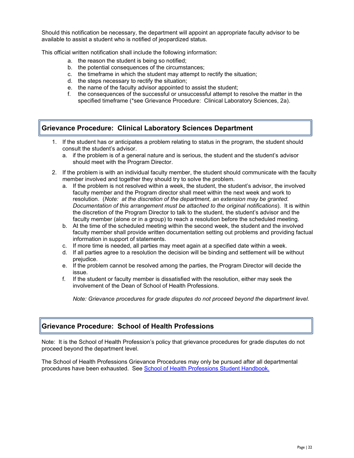Should this notification be necessary, the department will appoint an appropriate faculty advisor to be available to assist a student who is notified of jeopardized status.

This official written notification shall include the following information:

- a. the reason the student is being so notified;
- b. the potential consequences of the circumstances;
- c. the timeframe in which the student may attempt to rectify the situation;
- d. the steps necessary to rectify the situation;
- e. the name of the faculty advisor appointed to assist the student;
- f. the consequences of the successful or unsuccessful attempt to resolve the matter in the specified timeframe (\*see Grievance Procedure: Clinical Laboratory Sciences, 2a).

### **Grievance Procedure: Clinical Laboratory Sciences Department**

- 1. If the student has or anticipates a problem relating to status in the program, the student should consult the student's advisor.
	- a. if the problem is of a general nature and is serious, the student and the student's advisor should meet with the Program Director.
- 2. If the problem is with an individual faculty member, the student should communicate with the faculty member involved and together they should try to solve the problem.
	- a. If the problem is not resolved within a week, the student, the student's advisor, the involved faculty member and the Program director shall meet within the next week and work to resolution. (*Note: at the discretion of the department, an extension may be granted. Documentation of this arrangement must be attached to the original notifications*). It is within the discretion of the Program Director to talk to the student, the student's advisor and the faculty member (alone or in a group) to reach a resolution before the scheduled meeting.
	- b. At the time of the scheduled meeting within the second week, the student and the involved faculty member shall provide written documentation setting out problems and providing factual information in support of statements.
	- c. If more time is needed, all parties may meet again at a specified date within a week.
	- d. If all parties agree to a resolution the decision will be binding and settlement will be without prejudice.
	- e. If the problem cannot be resolved among the parties, the Program Director will decide the issue.
	- f. If the student or faculty member is dissatisfied with the resolution, either may seek the involvement of the Dean of School of Health Professions.

*Note: Grievance procedures for grade disputes do not proceed beyond the department level.*

### **Grievance Procedure: School of Health Professions**

Note: It is the School of Health Profession's policy that grievance procedures for grade disputes do not proceed beyond the department level.

The School of Health Professions Grievance Procedures may only be pursued after all departmental procedures have been exhausted. See [School of Health Professions Student Handbook.](http://www.kumc.edu/school-of-health-professions/student-handbook.html)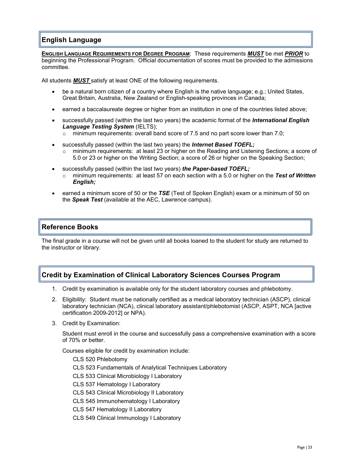## **English Language**

**ENGLISH LANGUAGE REQUIREMENTS FOR DEGREE PROGRAM**: These requirements *MUST* be met *PRIOR* to beginning the Professional Program. Official documentation of scores must be provided to the admissions committee.

All students *MUST* satisfy at least ONE of the following requirements.

- be a natural born citizen of a country where English is the native language; e.g.; United States, Great Britain, Australia, New Zealand or English-speaking provinces in Canada;
- earned a baccalaureate degree or higher from an institution in one of the countries listed above;
- successfully passed (within the last two years) the academic format of the *International English Language Testing System* (IELTS);
	- $\circ$  minimum requirements: overall band score of 7.5 and no part score lower than 7.0;
	- successfully passed (within the last two years) the *Internet Based TOEFL;* o minimum requirements: at least 23 or higher on the Reading and Listening Sections; a score of 5.0 or 23 or higher on the Writing Section; a score of 26 or higher on the Speaking Section;
- successfully passed (within the last two years) *the Paper-based TOEFL;*
	- minimum requirements: at least 57 on each section with a 5.0 or higher on the **Test of Written** *English;*
- earned a minimum score of 50 or the *TSE* (Test of Spoken English) exam or a minimum of 50 on the *Speak Test* (available at the AEC, Lawrence campus).

### **Reference Books**

The final grade in a course will not be given until all books loaned to the student for study are returned to the instructor or library.

### **Credit by Examination of Clinical Laboratory Sciences Courses Program**

- 1. Credit by examination is available only for the student laboratory courses and phlebotomy.
- 2. Eligibility: Student must be nationally certified as a medical laboratory technician (ASCP), clinical laboratory technician (NCA), clinical laboratory assistant/phlebotomist (ASCP, ASPT, NCA [active certification 2009-2012] or NPA).
- 3. Credit by Examination:

Student must enroll in the course and successfully pass a comprehensive examination with a score of 70% or better.

Courses eligible for credit by examination include:

CLS 520 Phlebotomy CLS 523 Fundamentals of Analytical Techniques Laboratory CLS 533 Clinical Microbiology I Laboratory CLS 537 Hematology I Laboratory CLS 543 Clinical Microbiology II Laboratory CLS 545 Immunohematology I Laboratory CLS 547 Hematology II Laboratory CLS 549 Clinical Immunology I Laboratory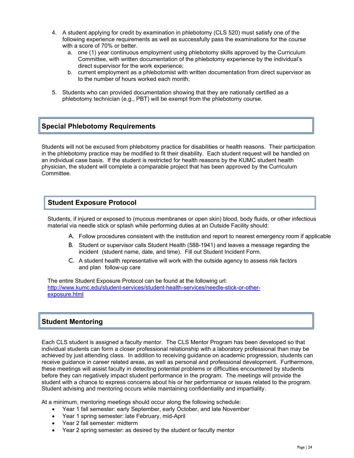- 4. A student applying for credit by examination in phlebotomy (CLS 520) must satisfy one of the following experience requirements as well as successfully pass the examinations for the course with a score of 70% or better.
	- a. one (1) year continuous employment using phlebotomy skills approved by the Curriculum Committee, with written documentation of the phlebotomy experience by the individual's direct supervisor for the work experience;
	- b. current employment as a phlebotomist with written documentation from direct supervisor as to the number of hours worked each month;
- 5. Students who can provided documentation showing that they are nationally certified as a phlebotomy technician (e.g., PBT) will be exempt from the phlebotomy course.

### **Special Phlebotomy Requirements**

Students will not be excused from phlebotomy practice for disabilities or health reasons. Their participation in the phlebotomy practice may be modified to fit their disability. Each student request will be handled on an individual case basis. If the student is restricted for health reasons by the KUMC student health physician, the student will complete a comparable project that has been approved by the Curriculum Committee.

### **Student Exposure Protocol**

Students, if injured or exposed to (mucous membranes or open skin) blood, body fluids, or other infectious material via needle stick or splash while performing duties at an Outside Facility should:

- A. Follow procedures consistent with the institution and report to nearest emergency room if applicable
- B. Student or supervisor calls Student Health (588-1941) and leaves a message regarding the incident (student name, date, and time). Fill out Student Incident Form.
- C. A student health representative will work with the outside agency to assess risk factors and plan follow-up care

The entire Student Exposure Protocol can be found at the following url: [http://www.kumc.edu/student-services/student-health-services/needle-stick-or-other](http://www.kumc.edu/student-services/student-health-services/needle-stick-or-other-exposure.html)[exposure.html](http://www.kumc.edu/student-services/student-health-services/needle-stick-or-other-exposure.html)

### **Student Mentoring**

Each CLS student is assigned a faculty mentor. The CLS Mentor Program has been developed so that individual students can form a closer professional relationship with a laboratory professional than may be achieved by just attending class. In addition to receiving guidance on academic progression, students can receive guidance in career related areas, as well as personal and professional development. Furthermore, these meetings will assist faculty in detecting potential problems or difficulties encountered by students before they can negatively impact student performance in the program. The meetings will provide the student with a chance to express concerns about his or her performance or issues related to the program. Student advising and mentoring occurs while maintaining confidentiality and impartiality.

At a minimum, mentoring meetings should occur along the following schedule:

- Year 1 fall semester: early September, early October, and late November
- Year 1 spring semester: late February, mid-April
- Year 2 fall semester: midterm
- Year 2 spring semester: as desired by the student or faculty mentor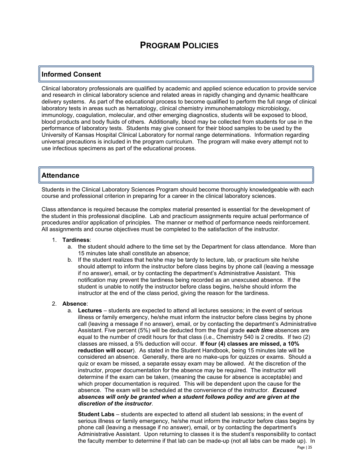### **Informed Consent**

Clinical laboratory professionals are qualified by academic and applied science education to provide service and research in clinical laboratory science and related areas in rapidly changing and dynamic healthcare delivery systems. As part of the educational process to become qualified to perform the full range of clinical laboratory tests in areas such as hematology, clinical chemistry immunohematology microbiology, immunology, coagulation, molecular, and other emerging diagnostics, students will be exposed to blood, blood products and body fluids of others. Additionally, blood may be collected from students for use in the performance of laboratory tests. Students may give consent for their blood samples to be used by the University of Kansas Hospital Clinical Laboratory for normal range determinations. Information regarding universal precautions is included in the program curriculum. The program will make every attempt not to use infectious specimens as part of the educational process.

### **Attendance**

Students in the Clinical Laboratory Sciences Program should become thoroughly knowledgeable with each course and professional criterion in preparing for a career in the clinical laboratory sciences.

Class attendance is required because the complex material presented is essential for the development of the student in this professional discipline. Lab and practicum assignments require actual performance of procedures and/or application of principles. The manner or method of performance needs reinforcement. All assignments and course objectives must be completed to the satisfaction of the instructor.

#### 1. **Tardiness**:

- a. the student should adhere to the time set by the Department for class attendance. More than 15 minutes late shall constitute an absence;
- b. If the student realizes that he/she may be tardy to lecture, lab, or practicum site he/she should attempt to inform the instructor before class begins by phone call (leaving a message if no answer), email, or by contacting the department's Administrative Assistant. This notification may prevent the tardiness being recorded as an unexcused absence. If the student is unable to notify the instructor before class begins, he/she should inform the instructor at the end of the class period, giving the reason for the tardiness.

#### 2. **Absence**:

a. **Lectures** – students are expected to attend all lectures sessions; in the event of serious illness or family emergency, he/she must inform the instructor before class begins by phone call (leaving a message if no answer), email, or by contacting the department's Administrative Assistant. Five percent (5%) will be deducted from the final grade *each time* absences are equal to the number of credit hours for that class (i.e., Chemistry 540 is 2 credits. If two (2) classes are missed, a 5% deduction will occur. **If four (4) classes are missed, a 10% reduction will occur**). As stated in the Student Handbook, being 15 minutes late will be considered an absence. Generally, there are no make-ups for quizzes or exams. Should a quiz or exam be missed, a separate essay exam may be allowed. At the discretion of the instructor, proper documentation for the absence may be required. The instructor will determine if the exam can be taken, (meaning the cause for absence is acceptable) and which proper documentation is required. This will be dependent upon the cause for the absence. The exam will be scheduled at the convenience of the instructor. *Excused absences will only be granted when a student follows policy and are given at the discretion of the instructor*.

**Student Labs** – students are expected to attend all student lab sessions; in the event of serious illness or family emergency, he/she must inform the instructor before class begins by phone call (leaving a message if no answer), email, or by contacting the department's Administrative Assistant. Upon returning to classes it is the student's responsibility to contact the faculty member to determine if that lab can be made-up (not all labs can be made up). In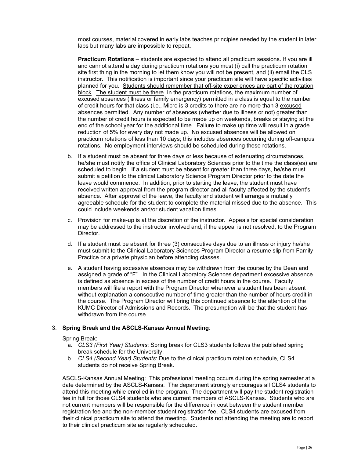most courses, material covered in early labs teaches principles needed by the student in later labs but many labs are impossible to repeat.

**Practicum Rotations** – students are expected to attend all practicum sessions. If you are ill and cannot attend a day during practicum rotations you must (i) call the practicum rotation site first thing in the morning to let them know you will not be present, and (ii) email the CLS instructor. This notification is important since your practicum site will have specific activities planned for you. Students should remember that off-site experiences are part of the rotation block. The student must be there. In the practicum rotations, the maximum number of excused absences (illness or family emergency) permitted in a class is equal to the number of credit hours for that class (i.e., Micro is 3 credits to there are no more than 3 excused absences permitted. Any number of absences (whether due to illness or not) greater than the number of credit hours is expected to be made up on weekends, breaks or staying at the end of the school year for the additional time. Failure to make up time will result in a grade reduction of 5% for every day not made up. No excused absences will be allowed on practicum rotations of less than 10 days; this includes absences occurring during off-campus rotations. No employment interviews should be scheduled during these rotations.

- b. If a student must be absent for three days or less because of extenuating circumstances, he/she must notify the office of Clinical Laboratory Sciences prior to the time the class(es) are scheduled to begin. If a student must be absent for greater than three days, he/she must submit a petition to the clinical Laboratory Science Program Director prior to the date the leave would commence. In addition, prior to starting the leave, the student must have received written approval from the program director and all faculty affected by the student's absence. After approval of the leave, the faculty and student will arrange a mutually agreeable schedule for the student to complete the material missed due to the absence. This could include weekends and/or student vacation times.
- c. Provision for make-up is at the discretion of the instructor. Appeals for special consideration may be addressed to the instructor involved and, if the appeal is not resolved, to the Program Director.
- d. If a student must be absent for three (3) consecutive days due to an illness or injury he/she must submit to the Clinical Laboratory Sciences Program Director a resume slip from Family Practice or a private physician before attending classes.
- e. A student having excessive absences may be withdrawn from the course by the Dean and assigned a grade of "F". In the Clinical Laboratory Sciences department excessive absence is defined as absence in excess of the number of credit hours in the course. Faculty members will file a report with the Program Director whenever a student has been absent without explanation a consecutive number of time greater than the number of hours credit in the course. The Program Director will bring this continued absence to the attention of the KUMC Director of Admissions and Records. The presumption will be that the student has withdrawn from the course.

#### 3. **Spring Break and the ASCLS-Kansas Annual Meeting**:

Spring Break:

- a. *CLS3 (First Year) Students*: Spring break for CLS3 students follows the published spring break schedule for the University;
- b. *CLS4 (Second Year) Students*: Due to the clinical practicum rotation schedule, CLS4 students do not receive Spring Break.

ASCLS-Kansas Annual Meeting: This professional meeting occurs during the spring semester at a date determined by the ASCLS-Kansas. The department strongly encourages all CLS4 students to attend this meeting while enrolled in the program. The department will pay the student registration fee in full for those CLS4 students who are current members of ASCLS-Kansas. Students who are not current members will be responsible for the difference in cost between the student member registration fee and the non-member student registration fee. CLS4 students are excused from their clinical practicum site to attend the meeting. Students not attending the meeting are to report to their clinical practicum site as regularly scheduled.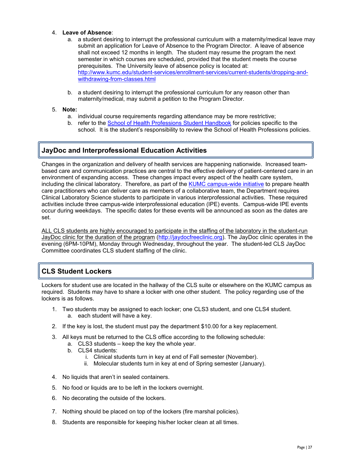#### 4. **Leave of Absence**:

- a. a student desiring to interrupt the professional curriculum with a maternity/medical leave may submit an application for Leave of Absence to the Program Director. A leave of absence shall not exceed 12 months in length. The student may resume the program the next semester in which courses are scheduled, provided that the student meets the course prerequisites. The University leave of absence policy is located at: [http://www.kumc.edu/student-services/enrollment-services/current-students/dropping-and](http://www.kumc.edu/student-services/enrollment-services/current-students/dropping-and-withdrawing-from-classes.html)[withdrawing-from-classes.html](http://www.kumc.edu/student-services/enrollment-services/current-students/dropping-and-withdrawing-from-classes.html)
- b. a student desiring to interrupt the professional curriculum for any reason other than maternity/medical, may submit a petition to the Program Director.

#### 5. **Note:**

- a. individual course requirements regarding attendance may be more restrictive;
- b. refer to the [School of Health Professions Student Handbook](http://www.kumc.edu/school-of-health-professions/student-handbook.html) for policies specific to the school. It is the student's responsibility to review the School of Health Professions policies.

## **JayDoc and Interprofessional Education Activities**

Changes in the organization and delivery of health services are happening nationwide. Increased teambased care and communication practices are central to the effective delivery of patient-centered care in an environment of expanding access. These changes impact every aspect of the health care system, including the clinical laboratory. Therefore, as part of the [KUMC campus-wide initiative](http://www.kumc.edu/center-for-interprofessional-practice-education-and-research.html) to prepare health care practitioners who can deliver care as members of a collaborative team, the Department requires Clinical Laboratory Science students to participate in various interprofessional activities. These required activities include three campus-wide interprofessional education (IPE) events. Campus-wide IPE events occur during weekdays. The specific dates for these events will be announced as soon as the dates are set.

ALL CLS students are highly encouraged to participate in the staffing of the laboratory in the student-run JayDoc clinic for the duration of the program [\(http://jaydocfreeclinic.org\)](http://jaydocfreeclinic.org/). The JayDoc clinic operates in the evening (6PM-10PM), Monday through Wednesday, throughout the year. The student-led CLS JayDoc Committee coordinates CLS student staffing of the clinic.

## **CLS Student Lockers**

Lockers for student use are located in the hallway of the CLS suite or elsewhere on the KUMC campus as required. Students may have to share a locker with one other student. The policy regarding use of the lockers is as follows.

- 1. Two students may be assigned to each locker; one CLS3 student, and one CLS4 student. a. each student will have a key.
- 2. If the key is lost, the student must pay the department \$10.00 for a key replacement.
- 3. All keys must be returned to the CLS office according to the following schedule:
	- a. CLS3 students keep the key the whole year.
	- b. CLS4 students:
		- i. Clinical students turn in key at end of Fall semester (November).
		- ii. Molecular students turn in key at end of Spring semester (January).
- 4. No liquids that aren't in sealed containers.
- 5. No food or liquids are to be left in the lockers overnight.
- 6. No decorating the outside of the lockers.
- 7. Nothing should be placed on top of the lockers (fire marshal policies).
- 8. Students are responsible for keeping his/her locker clean at all times.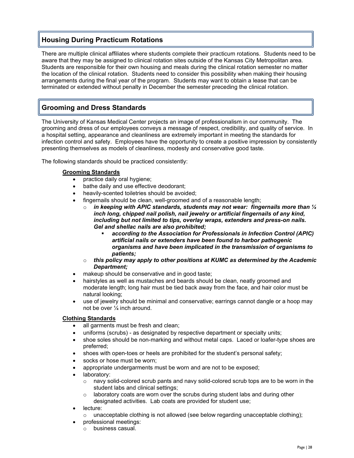## **Housing During Practicum Rotations**

There are multiple clinical affiliates where students complete their practicum rotations. Students need to be aware that they may be assigned to clinical rotation sites outside of the Kansas City Metropolitan area. Students are responsible for their own housing and meals during the clinical rotation semester no matter the location of the clinical rotation. Students need to consider this possibility when making their housing arrangements during the final year of the program. Students may want to obtain a lease that can be terminated or extended without penalty in December the semester preceding the clinical rotation.

## **Grooming and Dress Standards**

The University of Kansas Medical Center projects an image of professionalism in our community. The grooming and dress of our employees conveys a message of respect, credibility, and quality of service. In a hospital setting, appearance and cleanliness are extremely important in meeting the standards for infection control and safety. Employees have the opportunity to create a positive impression by consistently presenting themselves as models of cleanliness, modesty and conservative good taste.

The following standards should be practiced consistently:

#### **Grooming Standards**

- practice daily oral hygiene;
- bathe daily and use effective deodorant;
- heavily-scented toiletries should be avoided;
- fingernails should be clean, well-groomed and of a reasonable length;
	- o *in keeping with APIC standards, students may not wear: fingernails more than ¼ inch long, chipped nail polish, nail jewelry or artificial fingernails of any kind, including but not limited to tips, overlay wraps, extenders and press-on nails. Gel and shellac nails are also prohibited;*
		- *according to the Association for Professionals in Infection Control (APIC) artificial nails or extenders have been found to harbor pathogenic organisms and have been implicated in the transmission of organisms to patients;*
	- o *this policy may apply to other positions at KUMC as determined by the Academic Department;*
- makeup should be conservative and in good taste;
- hairstyles as well as mustaches and beards should be clean, neatly groomed and moderate length; long hair must be tied back away from the face, and hair color must be natural looking;
- use of jewelry should be minimal and conservative; earrings cannot dangle or a hoop may not be over ¼ inch around.

#### **Clothing Standards**

- all garments must be fresh and clean;
- uniforms (scrubs) as designated by respective department or specialty units;
- shoe soles should be non-marking and without metal caps. Laced or loafer-type shoes are preferred;
- shoes with open-toes or heels are prohibited for the student's personal safety;
- socks or hose must be worn;
- appropriate undergarments must be worn and are not to be exposed;
- laboratory:
	- o navy solid-colored scrub pants and navy solid-colored scrub tops are to be worn in the student labs and clinical settings;
	- o laboratory coats are worn over the scrubs during student labs and during other designated activities. Lab coats are provided for student use;
- lecture:
	- $\circ$  unacceptable clothing is not allowed (see below regarding unacceptable clothing);
- professional meetings:
	- o business casual.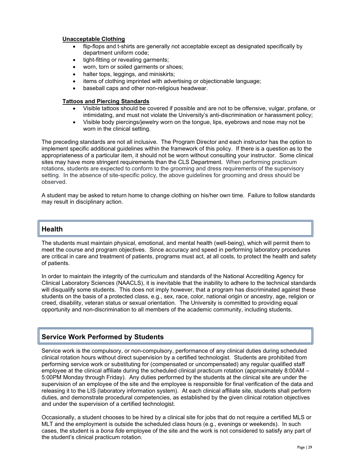#### **Unacceptable Clothing**

- flip-flops and t-shirts are generally not acceptable except as designated specifically by department uniform code;
- tight-fitting or revealing garments;
- worn, torn or soiled garments or shoes;
- halter tops, leggings, and miniskirts;
- items of clothing imprinted with advertising or objectionable language;
- baseball caps and other non-religious headwear.

#### **Tattoos and Piercing Standards**

- Visible tattoos should be covered if possible and are not to be offensive, vulgar, profane, or intimidating, and must not violate the University's anti-discrimination or harassment policy;
- Visible body piercings/jewelry worn on the tongue, lips, eyebrows and nose may not be worn in the clinical setting.

The preceding standards are not all inclusive. The Program Director and each instructor has the option to implement specific additional guidelines within the framework of this policy. If there is a question as to the appropriateness of a particular item, it should not be worn without consulting your instructor. Some clinical sites may have more stringent requirements than the CLS Department. When performing practicum rotations, students are expected to conform to the grooming and dress requirements of the supervisory setting. In the absence of site-specific policy, the above guidelines for grooming and dress should be observed.

A student may be asked to return home to change clothing on his/her own time. Failure to follow standards may result in disciplinary action.

#### **Health**

The students must maintain physical, emotional, and mental health (well-being), which will permit them to meet the course and program objectives. Since accuracy and speed in performing laboratory procedures are critical in care and treatment of patients, programs must act, at all costs, to protect the health and safety of patients.

In order to maintain the integrity of the curriculum and standards of the National Accrediting Agency for Clinical Laboratory Sciences (NAACLS), it is inevitable that the inability to adhere to the technical standards will disqualify some students. This does not imply however, that a program has discriminated against these students on the basis of a protected class, e.g., sex, race, color, national origin or ancestry, age, religion or creed, disability, veteran status or sexual orientation. The University is committed to providing equal opportunity and non-discrimination to all members of the academic community, including students.

### **Service Work Performed by Students**

Service work is the compulsory, or non-compulsory, performance of any clinical duties during scheduled clinical rotation hours without direct supervision by a certified technologist. Students are prohibited from performing service work or substituting for (compensated or uncompensated) any regular qualified staff employee at the clinical affiliate during the scheduled clinical practicum rotation (approximately 8:00AM – 5:00PM Monday through Friday). Any duties performed by the students at the clinical site are under the supervision of an employee of the site and the employee is responsible for final verification of the data and releasing it to the LIS (laboratory information system). At each clinical affiliate site, students shall perform duties, and demonstrate procedural competencies, as established by the given clinical rotation objectives and under the supervision of a certified technologist.

Occasionally, a student chooses to be hired by a clinical site for jobs that do not require a certified MLS or MLT and the employment is outside the scheduled class hours (e.g., evenings or weekends). In such cases, the student is a *bona fide* employee of the site and the work is not considered to satisfy any part of the student's clinical practicum rotation.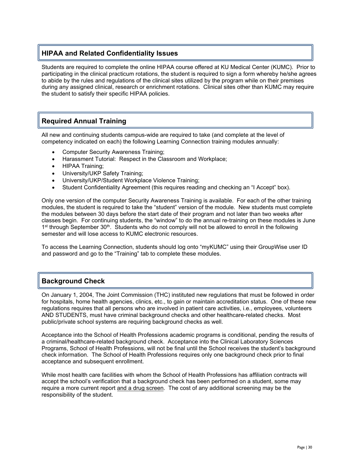### **HIPAA and Related Confidentiality Issues**

Students are required to complete the online HIPAA course offered at KU Medical Center (KUMC). Prior to participating in the clinical practicum rotations, the student is required to sign a form whereby he/she agrees to abide by the rules and regulations of the clinical sites utilized by the program while on their premises during any assigned clinical, research or enrichment rotations. Clinical sites other than KUMC may require the student to satisfy their specific HIPAA policies.

## **Required Annual Training**

All new and continuing students campus-wide are required to take (and complete at the level of competency indicated on each) the following Learning Connection training modules annually:

- Computer Security Awareness Training;
- Harassment Tutorial: Respect in the Classroom and Workplace;
- HIPAA Training;
- University/UKP Safety Training;
- University/UKP/Student Workplace Violence Training;
- Student Confidentiality Agreement (this requires reading and checking an "I Accept" box).

Only one version of the computer Security Awareness Training is available. For each of the other training modules, the student is required to take the "student" version of the module. New students must complete the modules between 30 days before the start date of their program and not later than two weeks after classes begin. For continuing students, the "window" to do the annual re-training on these modules is June 1<sup>st</sup> through September 30<sup>th</sup>. Students who do not comply will not be allowed to enroll in the following semester and will lose access to KUMC electronic resources.

To access the Learning Connection, students should log onto "myKUMC" using their GroupWise user ID and password and go to the "Training" tab to complete these modules.

### **Background Check**

On January 1, 2004, The Joint Commission (THC) instituted new regulations that must be followed in order for hospitals, home health agencies, clinics, etc., to gain or maintain accreditation status. One of these new regulations requires that all persons who are involved in patient care activities, i.e., employees, volunteers AND STUDENTS, must have criminal background checks and other healthcare-related checks. Most public/private school systems are requiring background checks as well.

Acceptance into the School of Health Professions academic programs is conditional, pending the results of a criminal/healthcare-related background check. Acceptance into the Clinical Laboratory Sciences Programs, School of Health Professions, will not be final until the School receives the student's background check information. The School of Health Professions requires only one background check prior to final acceptance and subsequent enrollment.

While most health care facilities with whom the School of Health Professions has affiliation contracts will accept the school's verification that a background check has been performed on a student, some may require a more current report and a drug screen. The cost of any additional screening may be the responsibility of the student.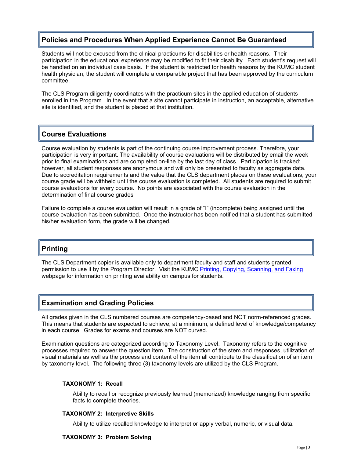## **Policies and Procedures When Applied Experience Cannot Be Guaranteed**

Students will not be excused from the clinical practicums for disabilities or health reasons. Their participation in the educational experience may be modified to fit their disability. Each student's request will be handled on an individual case basis. If the student is restricted for health reasons by the KUMC student health physician, the student will complete a comparable project that has been approved by the curriculum committee.

The CLS Program diligently coordinates with the practicum sites in the applied education of students enrolled in the Program. In the event that a site cannot participate in instruction, an acceptable, alternative site is identified, and the student is placed at that institution.

### **Course Evaluations**

Course evaluation by students is part of the continuing course improvement process. Therefore, your participation is very important. The availability of course evaluations will be distributed by email the week prior to final examinations and are completed on-line by the last day of class. Participation is tracked; however, all student responses are anonymous and will only be presented to faculty as aggregate data. Due to accreditation requirements and the value that the CLS department places on these evaluations, your course grade will be withheld until the course evaluation is completed. All students are required to submit course evaluations for every course. No points are associated with the course evaluation in the determination of final course grades

Failure to complete a course evaluation will result in a grade of "I" (incomplete) being assigned until the course evaluation has been submitted. Once the instructor has been notified that a student has submitted his/her evaluation form, the grade will be changed.

### **Printing**

The CLS Department copier is available only to department faculty and staff and students granted permission to use it by the Program Director. Visit the KUMC [Printing, Copying, Scanning, and Faxing](https://library.kumc.edu/how-to/printing-and-more.xml) webpage for information on printing availability on campus for students.

### **Examination and Grading Policies**

All grades given in the CLS numbered courses are competency-based and NOT norm-referenced grades. This means that students are expected to achieve, at a minimum, a defined level of knowledge/competency in each course. Grades for exams and courses are NOT curved.

Examination questions are categorized according to Taxonomy Level. Taxonomy refers to the cognitive processes required to answer the question item. The construction of the stem and responses, utilization of visual materials as well as the process and content of the item all contribute to the classification of an item by taxonomy level. The following three (3) taxonomy levels are utilized by the CLS Program.

#### **TAXONOMY 1: Recall**

Ability to recall or recognize previously learned (memorized) knowledge ranging from specific facts to complete theories.

#### **TAXONOMY 2: Interpretive Skills**

Ability to utilize recalled knowledge to interpret or apply verbal, numeric, or visual data.

#### **TAXONOMY 3: Problem Solving**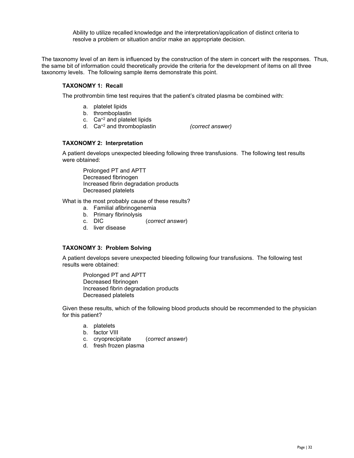Ability to utilize recalled knowledge and the interpretation/application of distinct criteria to resolve a problem or situation and/or make an appropriate decision.

The taxonomy level of an item is influenced by the construction of the stem in concert with the responses. Thus, the same bit of information could theoretically provide the criteria for the development of items on all three taxonomy levels. The following sample items demonstrate this point.

#### **TAXONOMY 1: Recall**

The prothrombin time test requires that the patient's citrated plasma be combined with:

- a. platelet lipids
- b. thromboplastin
- c. Ca+2 and platelet lipids
- d. Ca+2 and thromboplastin *(correct answer)*

#### **TAXONOMY 2: Interpretation**

A patient develops unexpected bleeding following three transfusions. The following test results were obtained:

Prolonged PT and APTT Decreased fibrinogen Increased fibrin degradation products Decreased platelets

What is the most probably cause of these results?

- a. Familial afibrinogenemia
- b. Primary fibrinolysis
- c. DIC (*correct answer*)
- d. liver disease

#### **TAXONOMY 3: Problem Solving**

A patient develops severe unexpected bleeding following four transfusions. The following test results were obtained:

Prolonged PT and APTT Decreased fibrinogen Increased fibrin degradation products Decreased platelets

Given these results, which of the following blood products should be recommended to the physician for this patient?

- a. platelets
- b. factor VIII
- c. cryoprecipitate (*correct answer*)
- d. fresh frozen plasma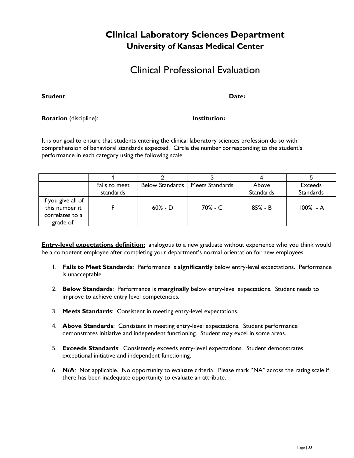## **Clinical Laboratory Sciences Department University of Kansas Medical Center**

## Clinical Professional Evaluation

| Student:                      | Date:               |
|-------------------------------|---------------------|
| <b>Rotation</b> (discipline): | <b>Institution:</b> |

It is our goal to ensure that students entering the clinical laboratory sciences profession do so with comprehension of behavioral standards expected. Circle the number corresponding to the student's performance in each category using the following scale.

|                                                                      | Fails to meet<br>standards | <b>Below Standards</b> | Meets Standards | Above<br><b>Standards</b> | <b>Exceeds</b><br><b>Standards</b> |
|----------------------------------------------------------------------|----------------------------|------------------------|-----------------|---------------------------|------------------------------------|
| If you give all of<br>this number it<br>correlates to a<br>grade of: |                            | $60\% - D$             | 70% - C         | $85% - B$                 | $100\% - A$                        |

**Entry-level expectations definition:** analogous to a new graduate without experience who you think would be a competent employee after completing your department's normal orientation for new employees.

- 1. **Fails to Meet Standards**: Performance is **significantly** below entry-level expectations. Performance is unacceptable.
- 2. **Below Standards**: Performance is **marginally** below entry-level expectations. Student needs to improve to achieve entry level competencies.
- 3. **Meets Standards**: Consistent in meeting entry-level expectations.
- 4. **Above Standards**: Consistent in meeting entry-level expectations. Student performance demonstrates initiative and independent functioning. Student may excel in some areas.
- 5. **Exceeds Standards**: Consistently exceeds entry-level expectations. Student demonstrates exceptional initiative and independent functioning.
- 6. **N/A**: Not applicable. No opportunity to evaluate criteria. Please mark "NA" across the rating scale if there has been inadequate opportunity to evaluate an attribute.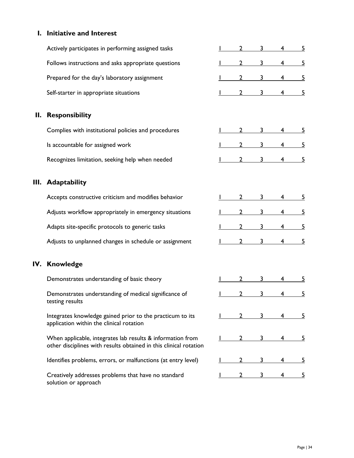## **I. Initiative and Interest**

|     | Actively participates in performing assigned tasks                                                                              |              |   |   | <u>5</u> |
|-----|---------------------------------------------------------------------------------------------------------------------------------|--------------|---|---|----------|
|     | Follows instructions and asks appropriate questions                                                                             |              | 3 | 4 | 5        |
|     | Prepared for the day's laboratory assignment                                                                                    | 2            | 3 | 4 | <u>5</u> |
|     | Self-starter in appropriate situations                                                                                          |              | 3 | 4 | <u>5</u> |
| II. | <b>Responsibility</b>                                                                                                           |              |   |   |          |
|     | Complies with institutional policies and procedures                                                                             |              |   | 4 |          |
|     | Is accountable for assigned work                                                                                                |              |   | 4 |          |
|     | Recognizes limitation, seeking help when needed                                                                                 |              | 3 |   |          |
|     | III. Adaptability                                                                                                               |              |   |   |          |
|     | Accepts constructive criticism and modifies behavior                                                                            | $\mathbf{2}$ | 3 |   | 5        |
|     | Adjusts workflow appropriately in emergency situations                                                                          | 2            | 3 | 4 | 5        |
|     | Adapts site-specific protocols to generic tasks                                                                                 |              | 3 | 4 | 5        |
|     | Adjusts to unplanned changes in schedule or assignment                                                                          | 2            | 3 | 4 | 5        |
|     | IV. Knowledge                                                                                                                   |              |   |   |          |
|     | Demonstrates understanding of basic theory                                                                                      |              | 3 |   | 5        |
|     | Demonstrates understanding of medical significance of<br>testing results                                                        | 2            | 3 | 4 | <u>5</u> |
|     | Integrates knowledge gained prior to the practicum to its<br>application within the clinical rotation                           |              |   |   |          |
|     | When applicable, integrates lab results & information from<br>other disciplines with results obtained in this clinical rotation |              |   |   |          |
|     | Identifies problems, errors, or malfunctions (at entry level)                                                                   |              |   |   |          |
|     | Creatively addresses problems that have no standard<br>solution or approach                                                     |              |   |   |          |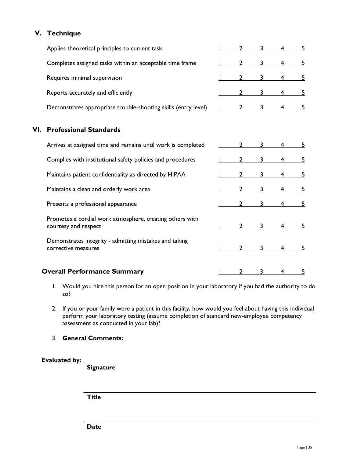## **V. Technique**

|     | Applies theoretical principles to current task                                   |   | 3 | 4 | 5        |
|-----|----------------------------------------------------------------------------------|---|---|---|----------|
|     | Completes assigned tasks within an acceptable time frame                         |   | 3 | 4 | <u>5</u> |
|     | Requires minimal supervision                                                     | 2 | 3 | 4 | 5        |
|     | Reports accurately and efficiently                                               |   | 3 | 4 | <u>5</u> |
|     | Demonstrates appropriate trouble-shooting skills (entry level)                   |   | 3 | 4 | <u>5</u> |
| VI. | <b>Professional Standards</b>                                                    |   |   |   |          |
|     | Arrives at assigned time and remains until work is completed                     |   | ٦ | 4 | 5        |
|     | Complies with institutional safety policies and procedures                       |   | 3 |   | <u>5</u> |
|     | Maintains patient confidentiality as directed by HIPAA                           |   | 3 | 4 | 5        |
|     | Maintains a clean and orderly work area                                          |   | 3 | 4 | <u>5</u> |
|     | Presents a professional appearance                                               |   | 3 |   | 5        |
|     | Promotes a cordial work atmosphere, treating others with<br>courtesy and respect |   | 3 | 4 | 5        |
|     | Demonstrates integrity - admitting mistakes and taking<br>corrective measures    |   | 3 |   | 5        |
|     | <b>Overall Performance Summary</b>                                               |   |   |   | <u>5</u> |

- 1. Would you hire this person for an open position in your laboratory if you had the authority to do so?
- 2. If you or your family were a patient in this facility, how would you feel about having this individual perform your laboratory testing (assume completion of standard new-employee competency assessment as conducted in your lab)?
- 3. **General Comments:**

#### **Evaluated by:**

 **Signature**

 **Title**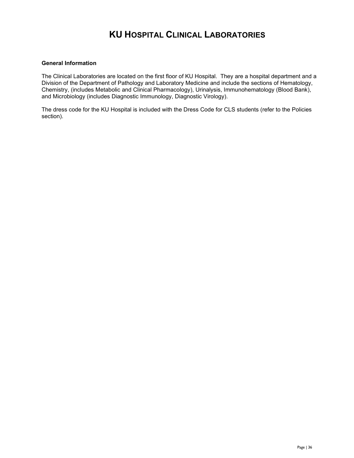## **KU HOSPITAL CLINICAL LABORATORIES**

#### **General Information**

The Clinical Laboratories are located on the first floor of KU Hospital. They are a hospital department and a Division of the Department of Pathology and Laboratory Medicine and include the sections of Hematology, Chemistry, (includes Metabolic and Clinical Pharmacology), Urinalysis, Immunohematology (Blood Bank), and Microbiology (includes Diagnostic Immunology, Diagnostic Virology).

The dress code for the KU Hospital is included with the Dress Code for CLS students (refer to the Policies section).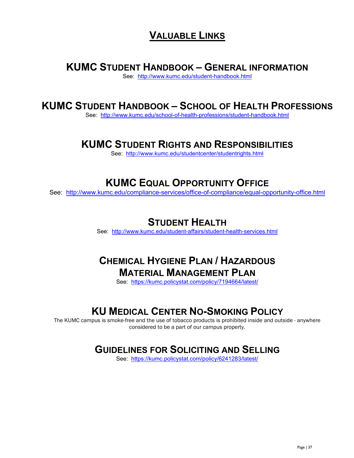## **VALUABLE LINKS**

## **KUMC STUDENT HANDBOOK – GENERAL INFORMATION**

See: <http://www.kumc.edu/student-handbook.html>

## **KUMC STUDENT HANDBOOK – SCHOOL OF HEALTH PROFESSIONS**

See: <http://www.kumc.edu/school-of-health-professions/student-handbook.html>

## **KUMC STUDENT RIGHTS AND RESPONSIBILITIES**

See: <http://www.kumc.edu/studentcenter/studentrights.html>

## **KUMC EQUAL OPPORTUNITY OFFICE**

See: <http://www.kumc.edu/compliance-services/office-of-compliance/equal-opportunity-office.html>

## **STUDENT HEALTH**

See: <http://www.kumc.edu/student-affairs/student-health-services.html>

## **CHEMICAL HYGIENE PLAN / HAZARDOUS MATERIAL MANAGEMENT PLAN**

See: <https://kumc.policystat.com/policy/7194664/latest/>

## **KU MEDICAL CENTER NO-SMOKING POLICY**

The KUMC campus is smoke-free and the use of tobacco products is prohibited inside and outside - anywhere considered to be a part of our campus property.

## **GUIDELINES FOR SOLICITING AND SELLING**

See: <https://kumc.policystat.com/policy/6241283/latest/>